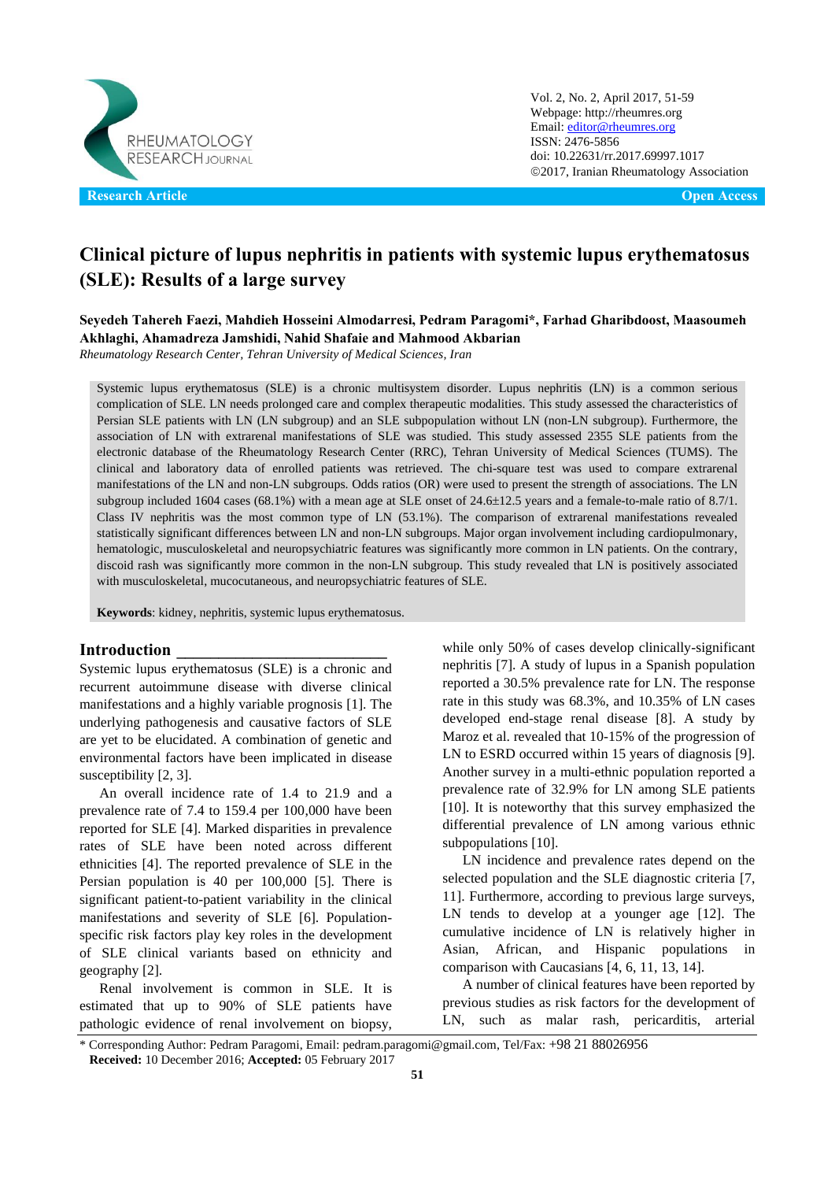

Vol. 2, No. 2, April 2017, 51-59 Webpage: http://rheumres.org Email[: editor@rheumres.org](mailto:editor@rheumres.org) ISSN: 2476-5856 doi: 10.22631/rr.2017.69997.1017 2017, Iranian Rheumatology Association

# **Clinical picture of lupus nephritis in patients with systemic lupus erythematosus (SLE): Results of a large survey**

**Seyedeh Tahereh Faezi, Mahdieh Hosseini Almodarresi, Pedram Paragomi\*, Farhad Gharibdoost, Maasoumeh Akhlaghi, Ahamadreza Jamshidi, Nahid Shafaie and Mahmood Akbarian**

*Rheumatology Research Center, Tehran University of Medical Sciences, Iran* 

Systemic lupus erythematosus (SLE) is a chronic multisystem disorder. Lupus nephritis (LN) is a common serious complication of SLE. LN needs prolonged care and complex therapeutic modalities. This study assessed the characteristics of Persian SLE patients with LN (LN subgroup) and an SLE subpopulation without LN (non-LN subgroup). Furthermore, the association of LN with extrarenal manifestations of SLE was studied. This study assessed 2355 SLE patients from the electronic database of the Rheumatology Research Center (RRC), Tehran University of Medical Sciences (TUMS). The clinical and laboratory data of enrolled patients was retrieved. The chi-square test was used to compare extrarenal manifestations of the LN and non-LN subgroups. Odds ratios (OR) were used to present the strength of associations. The LN subgroup included 1604 cases (68.1%) with a mean age at SLE onset of 24.6±12.5 years and a female-to-male ratio of 8.7/1. Class IV nephritis was the most common type of LN (53.1%). The comparison of extrarenal manifestations revealed statistically significant differences between LN and non-LN subgroups. Major organ involvement including cardiopulmonary, hematologic, musculoskeletal and neuropsychiatric features was significantly more common in LN patients. On the contrary, discoid rash was significantly more common in the non-LN subgroup. This study revealed that LN is positively associated with musculoskeletal, mucocutaneous, and neuropsychiatric features of SLE.

**Keywords**: kidney, nephritis, systemic lupus erythematosus.

#### **Introduction \_\_\_\_\_\_\_\_\_\_\_\_\_\_\_\_\_\_\_\_\_\_\_\_\_**

Systemic lupus erythematosus (SLE) is a chronic and recurrent autoimmune disease with diverse clinical manifestations and a highly variable prognosis [\[1\]](#page-7-0). The underlying pathogenesis and causative factors of SLE are yet to be elucidated. A combination of genetic and environmental factors have been implicated in disease susceptibility [\[2,](#page-7-1) [3\]](#page-7-2).

An overall incidence rate of 1.4 to 21.9 and a prevalence rate of 7.4 to 159.4 per 100,000 have been reported for SLE [\[4\]](#page-7-3). Marked disparities in prevalence rates of SLE have been noted across different ethnicities [\[4\]](#page-7-3). The reported prevalence of SLE in the Persian population is 40 per 100,000 [\[5\]](#page-7-4). There is significant patient-to-patient variability in the clinical manifestations and severity of SLE [\[6\]](#page-7-5). Populationspecific risk factors play key roles in the development of SLE clinical variants based on ethnicity and geography [\[2\]](#page-7-1).

Renal involvement is common in SLE. It is estimated that up to 90% of SLE patients have pathologic evidence of renal involvement on biopsy,

while only 50% of cases develop clinically-significant nephritis [\[7\]](#page-7-6). A study of lupus in a Spanish population reported a 30.5% prevalence rate for LN. The response rate in this study was 68.3%, and 10.35% of LN cases developed end-stage renal disease [\[8\]](#page-7-7). A study by Maroz et al. revealed that 10-15% of the progression of LN to ESRD occurred within 15 years of diagnosis [\[9\]](#page-7-8). Another survey in a multi-ethnic population reported a prevalence rate of 32.9% for LN among SLE patients [\[10\]](#page-7-9). It is noteworthy that this survey emphasized the differential prevalence of LN among various ethnic subpopulations [\[10\]](#page-7-9).

LN incidence and prevalence rates depend on the selected population and the SLE diagnostic criteria [\[7,](#page-7-6) [11\]](#page-7-10). Furthermore, according to previous large surveys, LN tends to develop at a younger age [\[12\]](#page-7-11). The cumulative incidence of LN is relatively higher in Asian, African, and Hispanic populations in comparison with Caucasians [\[4,](#page-7-3) [6,](#page-7-5) [11,](#page-7-10) [13,](#page-7-12) [14\]](#page-7-13).

A number of clinical features have been reported by previous studies as risk factors for the development of LN, such as malar rash, pericarditis, arterial

<sup>\*</sup> Corresponding Author: Pedram Paragomi, Email: pedram.paragomi@gmail.com, Tel/Fax: +98 21 88026956 **Received:** 10 December 2016; **Accepted:** 05 February 2017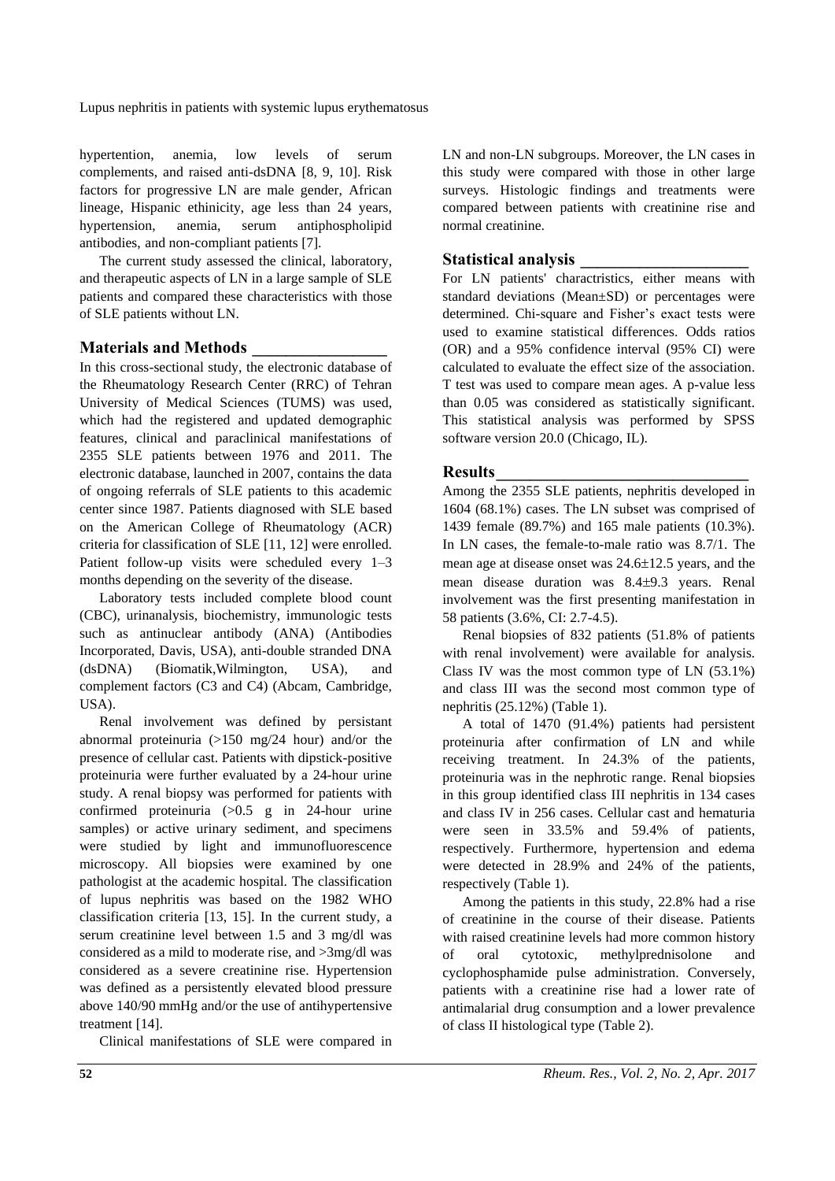hypertention, anemia, low levels of serum complements, and raised anti-dsDNA [8, 9, 10]. Risk factors for progressive LN are male gender, African lineage, Hispanic ethinicity, age less than 24 years, hypertension, anemia, serum antiphospholipid antibodies, and non-compliant patients [7].

The current study assessed the clinical, laboratory, and therapeutic aspects of LN in a large sample of SLE patients and compared these characteristics with those of SLE patients without LN.

### **Materials and Methods \_\_\_\_\_\_\_\_\_\_\_\_\_\_\_\_**

In this cross-sectional study, the electronic database of the Rheumatology Research Center (RRC) of Tehran University of Medical Sciences (TUMS) was used, which had the registered and updated demographic features, clinical and paraclinical manifestations of 2355 SLE patients between 1976 and 2011. The electronic database, launched in 2007, contains the data of ongoing referrals of SLE patients to this academic center since 1987. Patients diagnosed with SLE based on the American College of Rheumatology (ACR) criteria for classification of SLE [11, 12] were enrolled. Patient follow-up visits were scheduled every 1–3 months depending on the severity of the disease.

Laboratory tests included complete blood count (CBC), urinanalysis, biochemistry, immunologic tests such as antinuclear antibody (ANA) (Antibodies Incorporated, Davis, USA), anti-double stranded DNA (dsDNA) (Biomatik,Wilmington, USA), and complement factors (C3 and C4) (Abcam, Cambridge, USA).

Renal involvement was defined by persistant abnormal proteinuria (>150 mg/24 hour) and/or the presence of cellular cast. Patients with dipstick-positive proteinuria were further evaluated by a 24-hour urine study. A renal biopsy was performed for patients with confirmed proteinuria  $(>0.5 \text{ g} \text{ in } 24 \text{-hour} \text{ urine})$ samples) or active urinary sediment, and specimens were studied by light and immunofluorescence microscopy. All biopsies were examined by one pathologist at the academic hospital. The classification of lupus nephritis was based on the 1982 WHO classification criteria [\[13,](#page-7-14) 15]. In the current study, a serum creatinine level between 1.5 and 3 mg/dl was considered as a mild to moderate rise, and >3mg/dl was considered as a severe creatinine rise. Hypertension was defined as a persistently elevated blood pressure above 140/90 mmHg and/or the use of antihypertensive treatment [14].

Clinical manifestations of SLE were compared in

LN and non-LN subgroups. Moreover, the LN cases in this study were compared with those in other large surveys. Histologic findings and treatments were compared between patients with creatinine rise and normal creatinine.

### **Statistical analysis \_\_\_\_\_\_\_\_\_\_\_\_\_\_\_\_\_\_\_\_**

For LN patients' charactristics, either means with standard deviations (Mean±SD) or percentages were determined. Chi-square and Fisher"s exact tests were used to examine statistical differences. Odds ratios (OR) and a 95% confidence interval (95% CI) were calculated to evaluate the effect size of the association. T test was used to compare mean ages. A p-value less than 0.05 was considered as statistically significant. This statistical analysis was performed by SPSS software version 20.0 (Chicago, IL).

#### **Results\_\_\_\_\_\_\_\_\_\_\_\_\_\_\_\_\_\_\_\_\_\_\_\_\_\_\_\_\_\_**

Among the 2355 SLE patients, nephritis developed in 1604 (68.1%) cases. The LN subset was comprised of 1439 female (89.7%) and 165 male patients (10.3%). In LN cases, the female-to-male ratio was 8.7/1. The mean age at disease onset was  $24.6\pm12.5$  years, and the mean disease duration was  $8.4 \pm 9.3$  years. Renal involvement was the first presenting manifestation in 58 patients (3.6%, CI: 2.7-4.5).

Renal biopsies of 832 patients (51.8% of patients with renal involvement) were available for analysis. Class IV was the most common type of LN (53.1%) and class III was the second most common type of nephritis (25.12%) (Table 1).

A total of 1470 (91.4%) patients had persistent proteinuria after confirmation of LN and while receiving treatment. In 24.3% of the patients, proteinuria was in the nephrotic range. Renal biopsies in this group identified class III nephritis in 134 cases and class IV in 256 cases. Cellular cast and hematuria were seen in 33.5% and 59.4% of patients, respectively. Furthermore, hypertension and edema were detected in 28.9% and 24% of the patients, respectively (Table 1).

Among the patients in this study, 22.8% had a rise of creatinine in the course of their disease. Patients with raised creatinine levels had more common history of oral cytotoxic, methylprednisolone and cyclophosphamide pulse administration. Conversely, patients with a creatinine rise had a lower rate of antimalarial drug consumption and a lower prevalence of class II histological type (Table 2).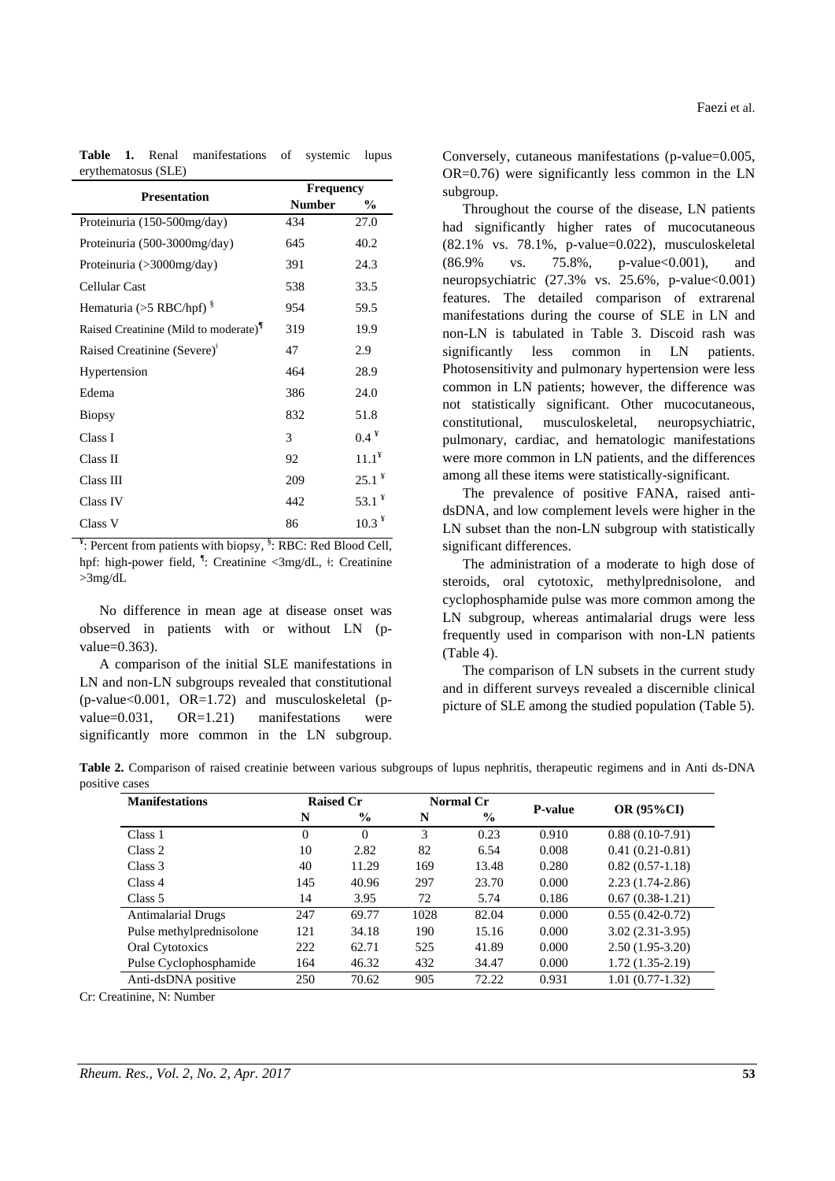| <b>Presentation</b>                     | <b>Frequency</b> |              |  |  |  |
|-----------------------------------------|------------------|--------------|--|--|--|
|                                         | <b>Number</b>    | $\%$         |  |  |  |
| Proteinuria (150-500mg/day)             | 434              | 27.0         |  |  |  |
| Proteinuria (500-3000mg/day)            | 645              | 40.2         |  |  |  |
| Proteinuria $(>3000$ mg/day)            | 391              | 24.3         |  |  |  |
| Cellular Cast                           | 538              | 33.5         |  |  |  |
| Hematuria (>5 RBC/hpf) $\frac{8}{3}$    | 954              | 59.5         |  |  |  |
| Raised Creatinine (Mild to moderate)    | 319              | 19.9         |  |  |  |
| Raised Creatinine (Severe) <sup>†</sup> | 47               | 2.9          |  |  |  |
| Hypertension                            | 464              | 28.9         |  |  |  |
| Edema                                   | 386              | 24.0         |  |  |  |
| <b>Biopsy</b>                           | 832              | 51.8         |  |  |  |
| Class I                                 | 3                | $0.4 \space$ |  |  |  |
| Class II                                | 92               | $11.1^*$     |  |  |  |
| Class III                               | 209              | $25.1^*$     |  |  |  |
| Class IV                                | 442              | 53.1 $*$     |  |  |  |
| Class V                                 | 86               | $10.3*$      |  |  |  |

**Table 1.** Renal manifestations of systemic lupus erythematosus (SLE)

 $\frac{4}{3}$ : Percent from patients with biopsy,  $\frac{8}{3}$ : RBC: Red Blood Cell, hpf: high-power field, <sup>1</sup>: Creatinine <3mg/dL, <sup>‡</sup>: Creatinine >3mg/dL

No difference in mean age at disease onset was observed in patients with or without LN (pvalue=0.363).

A comparison of the initial SLE manifestations in LN and non-LN subgroups revealed that constitutional  $(p-value<0.001$ ,  $OR=1.72$  and musculoskeletal (pvalue=0.031, OR=1.21) manifestations were significantly more common in the LN subgroup.

Conversely, cutaneous manifestations (p-value=0.005, OR=0.76) were significantly less common in the LN subgroup.

Throughout the course of the disease, LN patients had significantly higher rates of mucocutaneous (82.1% vs. 78.1%, p-value=0.022), musculoskeletal (86.9% vs. 75.8%, p-value<0.001), and neuropsychiatric  $(27.3\% \text{ vs. } 25.6\% , \text{ p-value} < 0.001)$ features. The detailed comparison of extrarenal manifestations during the course of SLE in LN and non-LN is tabulated in Table 3. Discoid rash was significantly less common in LN patients. Photosensitivity and pulmonary hypertension were less common in LN patients; however, the difference was not statistically significant. Other mucocutaneous, constitutional, musculoskeletal, neuropsychiatric, pulmonary, cardiac, and hematologic manifestations were more common in LN patients, and the differences among all these items were statistically-significant.

The prevalence of positive FANA, raised antidsDNA, and low complement levels were higher in the LN subset than the non-LN subgroup with statistically significant differences.

The administration of a moderate to high dose of steroids, oral cytotoxic, methylprednisolone, and cyclophosphamide pulse was more common among the LN subgroup, whereas antimalarial drugs were less frequently used in comparison with non-LN patients (Table 4).

The comparison of LN subsets in the current study and in different surveys revealed a discernible clinical picture of SLE among the studied population (Table 5).

**Table 2.** Comparison of raised creatinie between various subgroups of lupus nephritis, therapeutic regimens and in Anti ds-DNA positive cases

| <b>Manifestations</b>     |          | <b>Raised Cr</b> |      | Normal Cr     |                |                   |  |
|---------------------------|----------|------------------|------|---------------|----------------|-------------------|--|
|                           | N        | $\%$             | N    | $\frac{0}{0}$ | <b>P-value</b> | <b>OR (95%CI)</b> |  |
| Class 1                   | $\Omega$ | $\theta$         | 3    | 0.23          | 0.910          | $0.88(0.10-7.91)$ |  |
| Class 2                   | 10       | 2.82             | 82   | 6.54          | 0.008          | $0.41(0.21-0.81)$ |  |
| Class 3                   | 40       | 11.29            | 169  | 13.48         | 0.280          | $0.82(0.57-1.18)$ |  |
| Class 4                   | 145      | 40.96            | 297  | 23.70         | 0.000          | $2.23(1.74-2.86)$ |  |
| Class 5                   | 14       | 3.95             | 72   | 5.74          | 0.186          | $0.67(0.38-1.21)$ |  |
| <b>Antimalarial Drugs</b> | 247      | 69.77            | 1028 | 82.04         | 0.000          | $0.55(0.42-0.72)$ |  |
| Pulse methylprednisolone  | 121      | 34.18            | 190  | 15.16         | 0.000          | $3.02(2.31-3.95)$ |  |
| Oral Cytotoxics           | 222      | 62.71            | 525  | 41.89         | 0.000          | $2.50(1.95-3.20)$ |  |
| Pulse Cyclophosphamide    | 164      | 46.32            | 432  | 34.47         | 0.000          | $1.72(1.35-2.19)$ |  |
| Anti-dsDNA positive       | 250      | 70.62            | 905  | 72.22         | 0.931          | $1.01(0.77-1.32)$ |  |

Cr: Creatinine, N: Number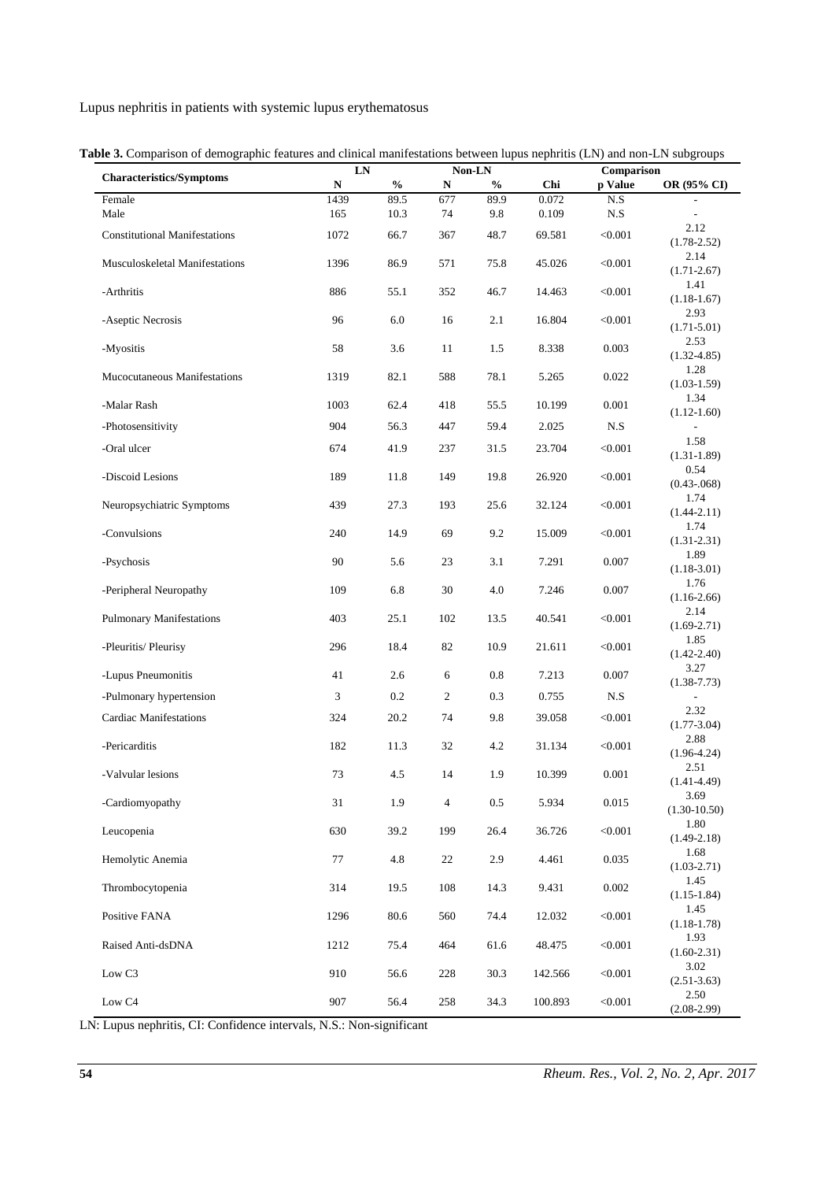|                                      | ${\bf LN}$  |                                    | Non-LN         |               |                | Comparison |                          |  |
|--------------------------------------|-------------|------------------------------------|----------------|---------------|----------------|------------|--------------------------|--|
| <b>Characteristics/Symptoms</b>      | $\mathbf N$ | $\mathbf{0}_{\mathbf{0}}^{\prime}$ | ${\bf N}$      | $\frac{0}{0}$ | Chi            | p Value    | OR (95% CI)              |  |
| Female<br>Male                       | 1439<br>165 | 89.5<br>10.3                       | 677<br>74      | 89.9<br>9.8   | 0.072<br>0.109 | N.S<br>N.S |                          |  |
| <b>Constitutional Manifestations</b> | 1072        | 66.7                               | 367            | 48.7          | 69.581         | < 0.001    | 2.12<br>$(1.78 - 2.52)$  |  |
| Musculoskeletal Manifestations       | 1396        | 86.9                               | 571            | 75.8          | 45.026         | < 0.001    | 2.14<br>$(1.71 - 2.67)$  |  |
| -Arthritis                           | 886         | 55.1                               | 352            | 46.7          | 14.463         | < 0.001    | 1.41<br>$(1.18-1.67)$    |  |
| -Aseptic Necrosis                    | 96          | 6.0                                | 16             | 2.1           | 16.804         | < 0.001    | 2.93<br>$(1.71 - 5.01)$  |  |
| -Myositis                            | 58          | 3.6                                | 11             | 1.5           | 8.338          | 0.003      | 2.53<br>$(1.32 - 4.85)$  |  |
| Mucocutaneous Manifestations         | 1319        | 82.1                               | 588            | 78.1          | 5.265          | 0.022      | 1.28<br>$(1.03-1.59)$    |  |
| -Malar Rash                          | 1003        | 62.4                               | 418            | 55.5          | 10.199         | 0.001      | 1.34<br>$(1.12 - 1.60)$  |  |
| -Photosensitivity                    | 904         | 56.3                               | 447            | 59.4          | 2.025          | N.S        |                          |  |
| -Oral ulcer                          | 674         | 41.9                               | 237            | 31.5          | 23.704         | < 0.001    | 1.58<br>$(1.31 - 1.89)$  |  |
| -Discoid Lesions                     | 189         | 11.8                               | 149            | 19.8          | 26.920         | < 0.001    | 0.54<br>$(0.43 - 068)$   |  |
| Neuropsychiatric Symptoms            | 439         | 27.3                               | 193            | 25.6          | 32.124         | < 0.001    | 1.74<br>$(1.44 - 2.11)$  |  |
| -Convulsions                         | 240         | 14.9                               | 69             | 9.2           | 15.009         | < 0.001    | 1.74<br>$(1.31 - 2.31)$  |  |
| -Psychosis                           | 90          | 5.6                                | 23             | 3.1           | 7.291          | 0.007      | 1.89<br>$(1.18-3.01)$    |  |
| -Peripheral Neuropathy               | 109         | 6.8                                | 30             | 4.0           | 7.246          | 0.007      | 1.76<br>$(1.16-2.66)$    |  |
| <b>Pulmonary Manifestations</b>      | 403         | 25.1                               | 102            | 13.5          | 40.541         | < 0.001    | 2.14<br>$(1.69 - 2.71)$  |  |
| -Pleuritis/ Pleurisy                 | 296         | 18.4                               | 82             | 10.9          | 21.611         | < 0.001    | 1.85<br>$(1.42 - 2.40)$  |  |
| -Lupus Pneumonitis                   | 41          | 2.6                                | 6              | 0.8           | 7.213          | 0.007      | 3.27<br>$(1.38 - 7.73)$  |  |
| -Pulmonary hypertension              | 3           | 0.2                                | $\overline{c}$ | 0.3           | 0.755          | N.S        |                          |  |
| <b>Cardiac Manifestations</b>        | 324         | 20.2                               | 74             | 9.8           | 39.058         | < 0.001    | 2.32<br>$(1.77 - 3.04)$  |  |
| -Pericarditis                        | 182         | 11.3                               | 32             | 4.2           | 31.134         | < 0.001    | 2.88<br>$(1.96 - 4.24)$  |  |
| -Valvular lesions                    | 73          | 4.5                                | 14             | 1.9           | 10.399         | 0.001      | 2.51<br>$(1.41 - 4.49)$  |  |
| -Cardiomyopathy                      | 31          | 1.9                                | 4              | $0.5\,$       | 5.934          | 0.015      | 3.69<br>$(1.30 - 10.50)$ |  |
| Leucopenia                           | 630         | 39.2                               | 199            | 26.4          | 36.726         | < 0.001    | 1.80<br>$(1.49 - 2.18)$  |  |
| Hemolytic Anemia                     | 77          | 4.8                                | 22             | 2.9           | 4.461          | 0.035      | 1.68<br>$(1.03 - 2.71)$  |  |
| Thrombocytopenia                     | 314         | 19.5                               | 108            | 14.3          | 9.431          | 0.002      | 1.45<br>$(1.15-1.84)$    |  |
| Positive FANA                        | 1296        | 80.6                               | 560            | 74.4          | 12.032         | < 0.001    | 1.45<br>$(1.18 - 1.78)$  |  |
| Raised Anti-dsDNA                    | 1212        | 75.4                               | 464            | 61.6          | 48.475         | < 0.001    | 1.93<br>$(1.60-2.31)$    |  |
| Low C <sub>3</sub>                   | 910         | 56.6                               | 228            | 30.3          | 142.566        | < 0.001    | 3.02<br>$(2.51-3.63)$    |  |
| Low C4                               | 907         | 56.4                               | 258            | 34.3          | 100.893        | < 0.001    | 2.50<br>$(2.08-2.99)$    |  |

|  |  |  |  |  |  | Table 3. Comparison of demographic features and clinical manifestations between lupus nephritis (LN) and non-LN subgroups |
|--|--|--|--|--|--|---------------------------------------------------------------------------------------------------------------------------|
|--|--|--|--|--|--|---------------------------------------------------------------------------------------------------------------------------|

LN: Lupus nephritis, CI: Confidence intervals, N.S.: Non-significant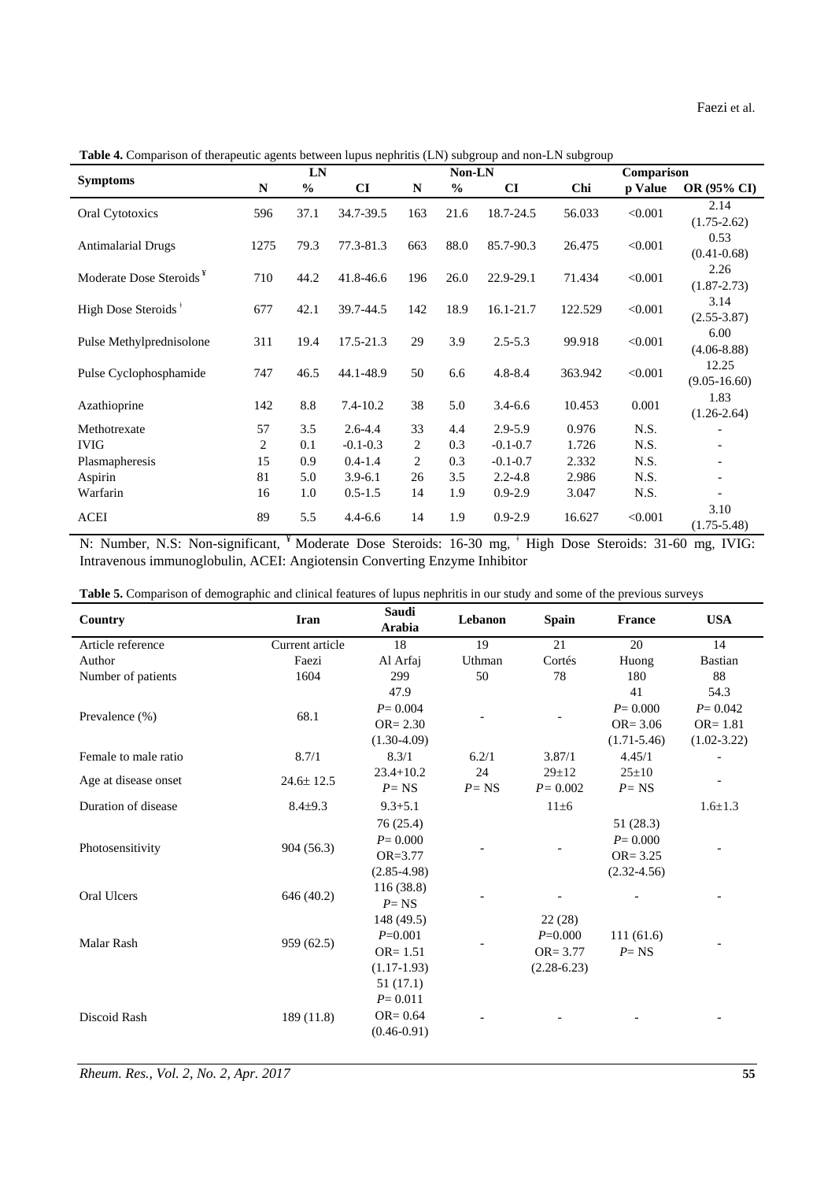Faezi et al.

**Table 4.** Comparison of therapeutic agents between lupus nephritis (LN) subgroup and non-LN subgroup

|                                     |      | LN            |                                   |                | Non-LN        |              |                               | Comparison |                           |  |
|-------------------------------------|------|---------------|-----------------------------------|----------------|---------------|--------------|-------------------------------|------------|---------------------------|--|
| <b>Symptoms</b>                     | N    | $\frac{6}{6}$ | CI                                | $\mathbf N$    | $\frac{6}{6}$ | CI           | Chi                           | p Value    | OR (95% CI)               |  |
| Oral Cytotoxics                     | 596  | 37.1          | 34.7-39.5                         | 163            | 21.6          | 18.7-24.5    | 56.033                        | < 0.001    | 2.14<br>$(1.75-2.62)$     |  |
| <b>Antimalarial Drugs</b>           | 1275 | 79.3          | 77.3-81.3                         | 663            | 88.0          | 85.7-90.3    | 26.475                        | < 0.001    | 0.53<br>$(0.41 - 0.68)$   |  |
| Moderate Dose Steroids <sup>¥</sup> | 710  | 44.2          | 41.8-46.6                         | 196            | 26.0          | 22.9-29.1    | 71.434                        | < 0.001    | 2.26<br>$(1.87 - 2.73)$   |  |
| High Dose Steroids <sup>†</sup>     | 677  | 42.1          | 39.7-44.5                         | 142            | 18.9          | 16.1-21.7    | 122.529                       | < 0.001    | 3.14<br>$(2.55 - 3.87)$   |  |
| Pulse Methylprednisolone            | 311  | 19.4          | 17.5-21.3                         | 29             | 3.9           | $2.5 - 5.3$  | 99.918                        | < 0.001    | 6.00<br>$(4.06 - 8.88)$   |  |
| Pulse Cyclophosphamide              | 747  | 46.5          | 44.1-48.9                         | 50             | 6.6           | $4.8 - 8.4$  | 363.942                       | < 0.001    | 12.25<br>$(9.05 - 16.60)$ |  |
| Azathioprine                        | 142  | 8.8           | $7.4 - 10.2$                      | 38             | 5.0           | $3.4 - 6.6$  | 10.453                        | 0.001      | 1.83<br>$(1.26-2.64)$     |  |
| Methotrexate                        | 57   | 3.5           | $2.6 - 4.4$                       | 33             | 4.4           | 2.9-5.9      | 0.976                         | N.S.       |                           |  |
| <b>IVIG</b>                         | 2    | 0.1           | $-0.1 - 0.3$                      | $\overline{c}$ | 0.3           | $-0.1 - 0.7$ | 1.726                         | N.S.       |                           |  |
| Plasmapheresis                      | 15   | 0.9           | $0.4 - 1.4$                       | $\overline{c}$ | 0.3           | $-0.1 - 0.7$ | 2.332                         | N.S.       |                           |  |
| Aspirin                             | 81   | 5.0           | $3.9 - 6.1$                       | 26             | 3.5           | $2.2 - 4.8$  | 2.986                         | N.S.       |                           |  |
| Warfarin                            | 16   | 1.0           | $0.5 - 1.5$                       | 14             | 1.9           | $0.9 - 2.9$  | 3.047                         | N.S.       |                           |  |
| <b>ACEI</b>                         | 89   | 5.5           | $4.4 - 6.6$                       | 14             | 1.9           | $0.9 - 2.9$  | 16.627                        | < 0.001    | 3.10<br>$(1.75 - 5.48)$   |  |
| N: Number, N.S. Non-significant.    |      |               | Moderate Dose Steroids: 16-30 mg. |                |               |              | High Dose Steroids: 31-60 mg. |            | <b>IVIG:</b>              |  |

N: Number, N.S: Non-significant, <sup>¥</sup> Moderate Dose Steroids: 16-30 mg, <sup>+</sup> High Dose Steroids: 31-60 mg, IVIG: [Intravenous immunoglobulin](http://www.google.com/url?sa=t&rct=j&q=&esrc=s&source=web&cd=1&sqi=2&ved=0CCYQFjAA&url=http%3A%2F%2Fen.wikipedia.org%2Fwiki%2FIntravenous_immunoglobulin&ei=qUwVT-GyI5OqsgavtJneDA&usg=AFQjCNGKrq9XKUVg1zR0SH672W_L_DASpA&sig2=5Ph9UQCCgtEtvmTJuhwdZw), ACEI: Angiotensin Converting Enzyme Inhibitor

| Table 5. Comparison of demographic and clinical features of lupus nephritis in our study and some of the previous surveys |  |
|---------------------------------------------------------------------------------------------------------------------------|--|
|---------------------------------------------------------------------------------------------------------------------------|--|

| Country              | <b>Iran</b>     | Saudi<br>Arabia | Lebanon  | <b>Spain</b>    | <b>France</b>   | <b>USA</b>      |
|----------------------|-----------------|-----------------|----------|-----------------|-----------------|-----------------|
| Article reference    | Current article | 18              | 19       | 21              | 20              | 14              |
| Author               | Faezi           | Al Arfaj        | Uthman   | Cortés          | Huong           | <b>Bastian</b>  |
| Number of patients   | 1604            | 299             | 50       | 78              | 180             | 88              |
|                      |                 | 47.9            |          |                 | 41              | 54.3            |
| Prevalence $(\% )$   | 68.1            | $P = 0.004$     |          |                 | $P = 0.000$     | $P = 0.042$     |
|                      |                 | $OR = 2.30$     |          |                 | $OR = 3.06$     | $OR = 1.81$     |
|                      |                 | $(1.30-4.09)$   |          |                 | $(1.71 - 5.46)$ | $(1.02 - 3.22)$ |
| Female to male ratio | 8.7/1           | 8.3/1           | 6.2/1    | 3.87/1          | 4.45/1          |                 |
| Age at disease onset | $24.6 \pm 12.5$ | $23.4 + 10.2$   | 24       | $29 \pm 12$     | $25 \pm 10$     |                 |
|                      |                 | $P = NS$        | $P = NS$ | $P = 0.002$     | $P = NS$        |                 |
| Duration of disease  | $8.4{\pm}9.3$   | $9.3 + 5.1$     |          | $11\pm 6$       |                 | $1.6 \pm 1.3$   |
|                      |                 | 76(25.4)        |          |                 | 51 (28.3)       |                 |
|                      |                 | $P = 0.000$     |          |                 | $P = 0.000$     |                 |
| Photosensitivity     | 904 (56.3)      | $OR = 3.77$     |          |                 | $OR = 3.25$     |                 |
|                      |                 | $(2.85 - 4.98)$ |          |                 | $(2.32 - 4.56)$ |                 |
| Oral Ulcers          |                 | 116(38.8)       |          |                 |                 |                 |
|                      | 646 (40.2)      | $P = NS$        |          |                 |                 |                 |
|                      |                 | 148 (49.5)      |          | 22(28)          |                 |                 |
| Malar Rash           |                 | $P=0.001$       |          | $P=0.000$       | 111(61.6)       |                 |
|                      | 959 (62.5)      | $OR = 1.51$     |          | $OR = 3.77$     | $P = NS$        |                 |
|                      |                 | $(1.17-1.93)$   |          | $(2.28 - 6.23)$ |                 |                 |
|                      |                 | 51 (17.1)       |          |                 |                 |                 |
|                      |                 | $P = 0.011$     |          |                 |                 |                 |
| Discoid Rash         | 189(11.8)       | $OR = 0.64$     |          |                 |                 |                 |
|                      |                 | $(0.46 - 0.91)$ |          |                 |                 |                 |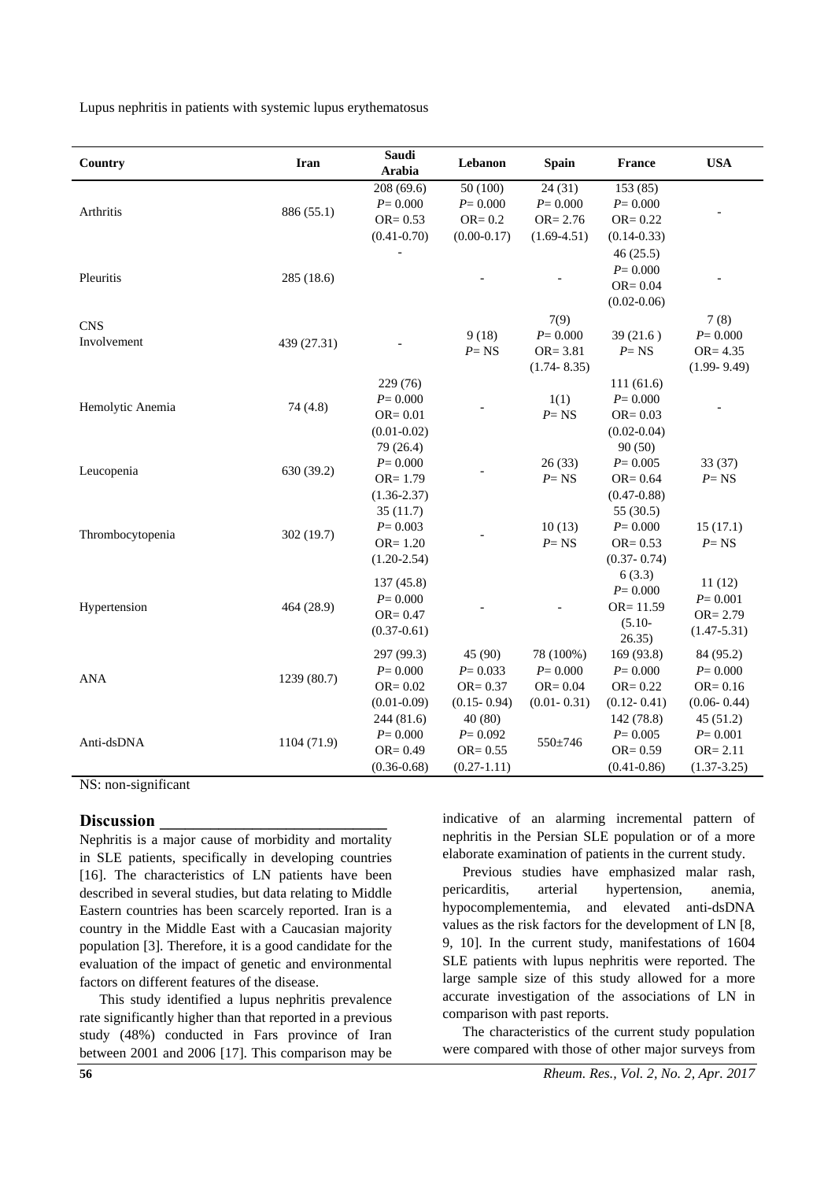| Country          | Iran        | Saudi<br>Arabia | Lebanon         | <b>Spain</b>    | <b>France</b>   | <b>USA</b>      |
|------------------|-------------|-----------------|-----------------|-----------------|-----------------|-----------------|
|                  |             | 208 (69.6)      | 50 (100)        | 24(31)          | 153(85)         |                 |
| Arthritis        | 886 (55.1)  | $P = 0.000$     | $P = 0.000$     | $P = 0.000$     | $P = 0.000$     |                 |
|                  |             | $OR = 0.53$     | $OR = 0.2$      | $OR = 2.76$     | $OR = 0.22$     |                 |
|                  |             | $(0.41 - 0.70)$ | $(0.00 - 0.17)$ | $(1.69 - 4.51)$ | $(0.14 - 0.33)$ |                 |
|                  |             |                 |                 |                 | 46(25.5)        |                 |
| Pleuritis        | 285 (18.6)  |                 |                 |                 | $P = 0.000$     |                 |
|                  |             |                 |                 |                 | OR= $0.04$      |                 |
|                  |             |                 |                 |                 | $(0.02 - 0.06)$ |                 |
| <b>CNS</b>       |             |                 |                 | 7(9)            |                 | 7(8)            |
| Involvement      |             |                 | 9(18)           | $P = 0.000$     | 39(21.6)        | $P = 0.000$     |
|                  | 439 (27.31) |                 | $P = NS$        | $OR = 3.81$     | $P = NS$        | $OR = 4.35$     |
|                  |             |                 |                 | $(1.74 - 8.35)$ |                 | $(1.99 - 9.49)$ |
|                  |             | 229 (76)        |                 |                 | 111(61.6)       |                 |
| Hemolytic Anemia | 74 (4.8)    | $P = 0.000$     |                 | 1(1)            | $P = 0.000$     |                 |
|                  |             | $OR = 0.01$     |                 | $P = NS$        | $OR = 0.03$     |                 |
|                  |             | $(0.01 - 0.02)$ |                 |                 | $(0.02 - 0.04)$ |                 |
| Leucopenia       |             | 79 (26.4)       |                 |                 | 90(50)          |                 |
|                  | 630 (39.2)  | $P = 0.000$     |                 | 26(33)          | $P = 0.005$     | 33(37)          |
|                  |             | $OR = 1.79$     |                 | $P = NS$        | $OR = 0.64$     | $P = NS$        |
|                  |             | $(1.36 - 2.37)$ |                 |                 | $(0.47 - 0.88)$ |                 |
|                  |             | 35(11.7)        |                 |                 | 55 (30.5)       |                 |
| Thrombocytopenia | 302 (19.7)  | $P = 0.003$     |                 | 10(13)          | $P = 0.000$     | 15(17.1)        |
|                  |             | $OR = 1.20$     |                 | $P = NS$        | $OR = 0.53$     | $P = NS$        |
|                  |             | $(1.20 - 2.54)$ |                 |                 | $(0.37 - 0.74)$ |                 |
|                  |             | 137 (45.8)      |                 |                 | 6(3.3)          | 11(12)          |
|                  |             | $P = 0.000$     |                 |                 | $P = 0.000$     | $P = 0.001$     |
| Hypertension     | 464 (28.9)  | $OR = 0.47$     |                 |                 | $OR = 11.59$    | $OR = 2.79$     |
|                  |             | $(0.37 - 0.61)$ |                 |                 | $(5.10 -$       | $(1.47 - 5.31)$ |
|                  |             |                 |                 |                 | 26.35)          |                 |
|                  |             | 297 (99.3)      | 45 (90)         | 78 (100%)       | 169 (93.8)      | 84 (95.2)       |
| <b>ANA</b>       | 1239 (80.7) | $P = 0.000$     | $P = 0.033$     | $P = 0.000$     | $P = 0.000$     | $P = 0.000$     |
|                  |             | $OR = 0.02$     | $OR = 0.37$     | $OR = 0.04$     | $OR = 0.22$     | $OR = 0.16$     |
|                  |             | $(0.01 - 0.09)$ | $(0.15 - 0.94)$ | $(0.01 - 0.31)$ | $(0.12 - 0.41)$ | $(0.06 - 0.44)$ |
|                  |             | 244 (81.6)      | 40 (80)         |                 | 142 (78.8)      | 45(51.2)        |
| Anti-dsDNA       | 1104 (71.9) | $P = 0.000$     | $P = 0.092$     | $550 \pm 746$   | $P = 0.005$     | $P = 0.001$     |
|                  |             | $OR = 0.49$     | $OR = 0.55$     |                 | $OR = 0.59$     | $OR = 2.11$     |
|                  |             | $(0.36 - 0.68)$ | $(0.27 - 1.11)$ |                 | $(0.41 - 0.86)$ | $(1.37 - 3.25)$ |

NS: non-significant

#### **Discussion \_\_\_\_\_\_\_\_\_\_\_\_\_\_\_\_\_\_\_\_\_\_\_\_\_\_\_**

Nephritis is a major cause of morbidity and mortality in SLE patients, specifically in developing countries [\[16\]](#page-7-15). The characteristics of LN patients have been described in several studies, but data relating to Middle Eastern countries has been scarcely reported. Iran is a country in the Middle East with a Caucasian majority population [3]. Therefore, it is a good candidate for the evaluation of the impact of genetic and environmental factors on different features of the disease.

This study identified a lupus nephritis prevalence rate significantly higher than that reported in a previous study (48%) conducted in Fars province of Iran between 2001 and 2006 [\[17\]](#page-7-16). This comparison may be indicative of an alarming incremental pattern of nephritis in the Persian SLE population or of a more elaborate examination of patients in the current study.

Previous studies have emphasized malar rash, pericarditis, arterial hypertension, anemia, hypocomplementemia, and elevated anti-dsDNA values as the risk factors for the development of LN [8, 9, 10]. In the current study, manifestations of 1604 SLE patients with lupus nephritis were reported. The large sample size of this study allowed for a more accurate investigation of the associations of LN in comparison with past reports.

The characteristics of the current study population were compared with those of other major surveys from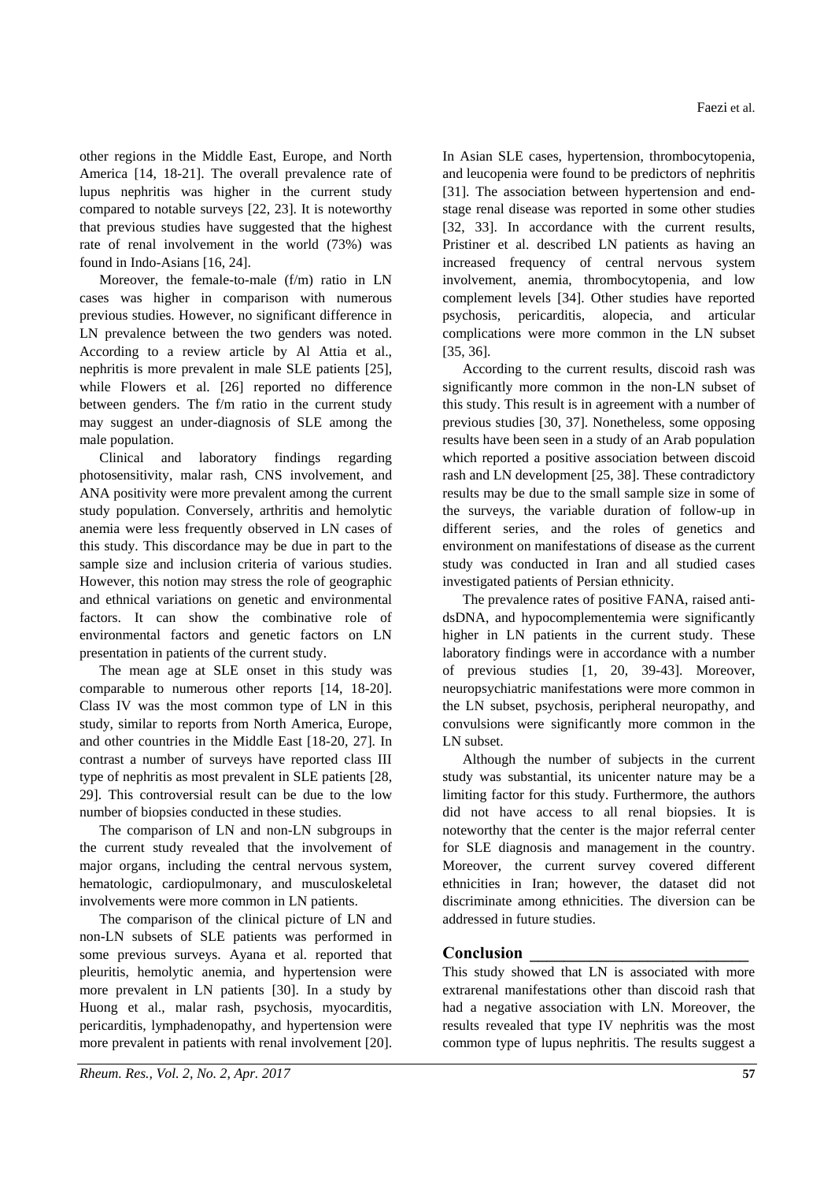other regions in the Middle East, Europe, and North America [\[14,](#page-7-13) [18-21\]](#page-7-17). The overall prevalence rate of lupus nephritis was higher in the current study compared to notable surveys [\[22,](#page-7-18) [23\]](#page-7-19). It is noteworthy that previous studies have suggested that the highest rate of renal involvement in the world (73%) was found in Indo-Asians [\[16,](#page-7-15) [24\]](#page-7-20).

Moreover, the female-to-male (f/m) ratio in LN cases was higher in comparison with numerous previous studies. However, no significant difference in LN prevalence between the two genders was noted. According to a review article by Al Attia et al., nephritis is more prevalent in male SLE patients [\[25\]](#page-8-0), while Flowers et al. [\[26\]](#page-8-1) reported no difference between genders. The f/m ratio in the current study may suggest an under-diagnosis of SLE among the male population.

Clinical and laboratory findings regarding photosensitivity, malar rash, CNS involvement, and ANA positivity were more prevalent among the current study population. Conversely, arthritis and hemolytic anemia were less frequently observed in LN cases of this study. This discordance may be due in part to the sample size and inclusion criteria of various studies. However, this notion may stress the role of geographic and ethnical variations on genetic and environmental factors. It can show the combinative role of environmental factors and genetic factors on LN presentation in patients of the current study.

The mean age at SLE onset in this study was comparable to numerous other reports [\[14,](#page-7-13) [18-20\]](#page-7-17). Class IV was the most common type of LN in this study, similar to reports from North America, Europe, and other countries in the Middle East [\[18-20,](#page-7-17) [27\]](#page-8-2). In contrast a number of surveys have reported class III type of nephritis as most prevalent in SLE patients [\[28,](#page-8-3) [29\]](#page-8-4). This controversial result can be due to the low number of biopsies conducted in these studies.

The comparison of LN and non-LN subgroups in the current study revealed that the involvement of major organs, including the central nervous system, hematologic, cardiopulmonary, and musculoskeletal involvements were more common in LN patients.

The comparison of the clinical picture of LN and non-LN subsets of SLE patients was performed in some previous surveys. Ayana et al. reported that pleuritis, hemolytic anemia, and hypertension were more prevalent in LN patients [\[30\]](#page-8-5). In a study by Huong et al., malar rash, psychosis, myocarditis, pericarditis, lymphadenopathy, and hypertension were more prevalent in patients with renal involvement [\[20\]](#page-7-21).

In Asian SLE cases, hypertension, thrombocytopenia, and leucopenia were found to be predictors of nephritis [\[31\]](#page-8-6). The association between hypertension and endstage renal disease was reported in some other studies [\[32,](#page-8-7) [33\]](#page-8-8). In accordance with the current results, Pristiner et al. described LN patients as having an increased frequency of central nervous system involvement, anemia, thrombocytopenia, and low complement levels [\[34\]](#page-8-9). Other studies have reported psychosis, pericarditis, alopecia, and articular complications were more common in the LN subset [\[35,](#page-8-10) [36\]](#page-8-11).

According to the current results, discoid rash was significantly more common in the non-LN subset of this study. This result is in agreement with a number of previous studies [\[30,](#page-8-5) [37\]](#page-8-12). Nonetheless, some opposing results have been seen in a study of an Arab population which reported a positive association between discoid rash and LN development [\[25,](#page-8-0) [38\]](#page-8-13). These contradictory results may be due to the small sample size in some of the surveys, the variable duration of follow-up in different series, and the roles of genetics and environment on manifestations of disease as the current study was conducted in Iran and all studied cases investigated patients of Persian ethnicity.

The prevalence rates of positive FANA, raised antidsDNA, and hypocomplementemia were significantly higher in LN patients in the current study. These laboratory findings were in accordance with a number of previous studies [\[1,](#page-7-0) [20,](#page-7-21) [39-43\]](#page-8-14). Moreover, neuropsychiatric manifestations were more common in the LN subset, psychosis, peripheral neuropathy, and convulsions were significantly more common in the LN subset.

Although the number of subjects in the current study was substantial, its unicenter nature may be a limiting factor for this study. Furthermore, the authors did not have access to all renal biopsies. It is noteworthy that the center is the major referral center for SLE diagnosis and management in the country. Moreover, the current survey covered different ethnicities in Iran; however, the dataset did not discriminate among ethnicities. The diversion can be addressed in future studies.

## **Conclusion \_\_\_\_\_\_\_\_\_\_\_\_\_\_\_\_\_\_\_\_\_\_\_\_\_\_**

This study showed that LN is associated with more extrarenal manifestations other than discoid rash that had a negative association with LN. Moreover, the results revealed that type IV nephritis was the most common type of lupus nephritis. The results suggest a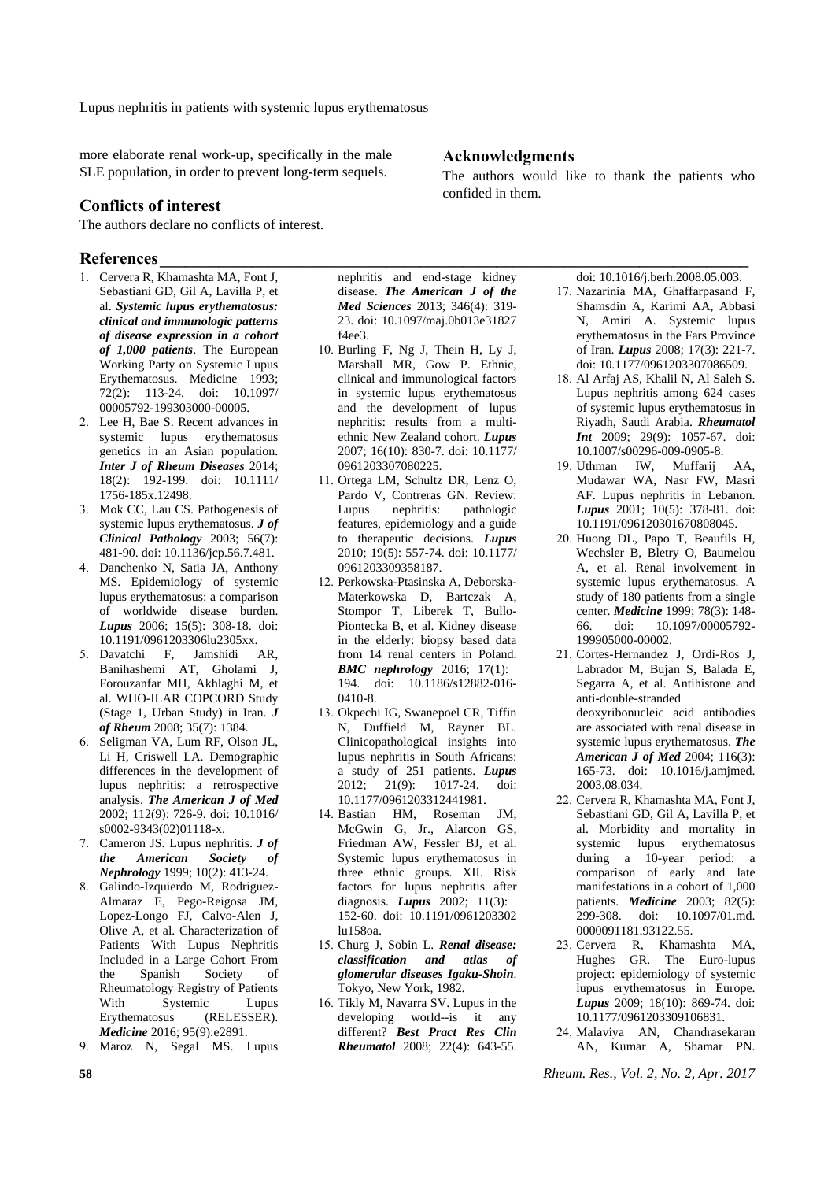more elaborate renal work-up, specifically in the male SLE population, in order to prevent long-term sequels.

### **Conflicts of interest**

The authors declare no conflicts of interest.

### **References\_\_\_\_\_\_\_\_\_\_\_\_\_\_\_\_\_\_\_\_\_\_\_\_\_\_\_\_\_\_\_\_\_\_\_\_\_\_\_\_\_\_\_\_\_\_\_\_\_\_\_\_\_\_\_\_\_\_\_\_\_\_\_\_\_\_\_\_\_\_**

- <span id="page-7-0"></span>1. Cervera R, Khamashta MA, Font J, Sebastiani GD, Gil A, Lavilla P, et al. *Systemic lupus erythematosus: clinical and immunologic patterns of disease expression in a cohort of 1,000 patients*. The European Working Party on Systemic Lupus Erythematosus. Medicine 1993; 72(2): 113-24. doi: 10.1097/ 00005792-199303000-00005.
- <span id="page-7-1"></span>2. Lee H, Bae S. Recent advances in systemic lupus erythematosus genetics in an Asian population. *Inter J of Rheum Diseases* 2014; 18(2): 192-199. doi: 10.1111/ 1756-185x.12498.
- <span id="page-7-2"></span>3. Mok CC, Lau CS. Pathogenesis of systemic lupus erythematosus. *J of Clinical Pathology* 2003; 56(7): 481-90. doi: 10.1136/jcp.56.7.481.
- <span id="page-7-3"></span>4. Danchenko N, Satia JA, Anthony MS. Epidemiology of systemic lupus erythematosus: a comparison of worldwide disease burden. *Lupus* 2006; 15(5): 308-18. doi: 10.1191/0961203306lu2305xx.
- <span id="page-7-4"></span>5. Davatchi F, Jamshidi AR, Banihashemi AT, Gholami J, Forouzanfar MH, Akhlaghi M, et al. WHO-ILAR COPCORD Study (Stage 1, Urban Study) in Iran. *J of Rheum* 2008; 35(7): 1384.
- <span id="page-7-5"></span>6. Seligman VA, Lum RF, Olson JL, Li H, Criswell LA. Demographic differences in the development of lupus nephritis: a retrospective analysis. *The American J of Med* 2002; 112(9): 726-9. doi: 10.1016/ s0002-9343(02)01118-x.
- <span id="page-7-6"></span>7. Cameron JS. Lupus nephritis. *J of the American Society of Nephrology* 1999; 10(2): 413-24.
- <span id="page-7-7"></span>8. Galindo-Izquierdo M, Rodriguez-Almaraz E, Pego-Reigosa JM, Lopez-Longo FJ, Calvo-Alen J, Olive A, et al. Characterization of Patients With Lupus Nephritis Included in a Large Cohort From the Spanish Society of Rheumatology Registry of Patients With Systemic Lupus Erythematosus (RELESSER). *Medicine* 2016; 95(9):e2891.
- <span id="page-7-8"></span>9. Maroz N, Segal MS. Lupus

nephritis and end-stage kidney disease. *The American J of the Med Sciences* 2013; 346(4): 319- 23. doi: 10.1097/maj.0b013e31827 f4ee3.

- <span id="page-7-9"></span>10. Burling F, Ng J, Thein H, Ly J, Marshall MR, Gow P. Ethnic, clinical and immunological factors in systemic lupus erythematosus and the development of lupus nephritis: results from a multiethnic New Zealand cohort. *Lupus* 2007; 16(10): 830-7. doi: 10.1177/ 0961203307080225.
- <span id="page-7-10"></span>11. Ortega LM, Schultz DR, Lenz O, Pardo V, Contreras GN. Review: Lupus nephritis: pathologic features, epidemiology and a guide to therapeutic decisions. *Lupus* 2010; 19(5): 557-74. doi: 10.1177/ 0961203309358187.
- <span id="page-7-11"></span>12. Perkowska-Ptasinska A, Deborska-Materkowska D, Bartczak A, Stompor T, Liberek T, Bullo-Piontecka B, et al. Kidney disease in the elderly: biopsy based data from 14 renal centers in Poland. *BMC nephrology* 2016; 17(1): 194. doi: 10.1186/s12882-016- 0410-8.
- <span id="page-7-12"></span>13. Okpechi IG, Swanepoel CR, Tiffin N, Duffield M, Rayner BL. Clinicopathological insights into lupus nephritis in South Africans: a study of 251 patients. *Lupus* 2012; 21(9): 1017-24. doi: 10.1177/0961203312441981.
- <span id="page-7-13"></span>14. Bastian HM, Roseman JM, McGwin G, Jr., Alarcon GS, Friedman AW, Fessler BJ, et al. Systemic lupus erythematosus in three ethnic groups. XII. Risk factors for lupus nephritis after diagnosis. *Lupus* 2002; 11(3): 152-60. doi: 10.1191/0961203302 lu158oa.
- <span id="page-7-14"></span>15. Churg J, Sobin L. *Renal disease: classification and atlas of glomerular diseases Igaku-Shoin*. Tokyo, New York, 1982.
- <span id="page-7-15"></span>16. Tikly M, Navarra SV. Lupus in the developing world--is it any different? *Best Pract Res Clin Rheumatol* 2008; 22(4): 643-55.

### **Acknowledgments**

The authors would like to thank the patients who confided in them.

doi: 10.1016/j.berh.2008.05.003.

- <span id="page-7-16"></span>17. Nazarinia MA, Ghaffarpasand F, Shamsdin A, Karimi AA, Abbasi N, Amiri A. Systemic lupus erythematosus in the Fars Province of Iran. *Lupus* 2008; 17(3): 221-7. doi: 10.1177/0961203307086509.
- <span id="page-7-17"></span>18. Al Arfaj AS, Khalil N, Al Saleh S. Lupus nephritis among 624 cases of systemic lupus erythematosus in Riyadh, Saudi Arabia. *Rheumatol Int* 2009; 29(9): 1057-67. doi: 10.1007/s00296-009-0905-8.
- 19. Uthman IW, Muffarij AA, Mudawar WA, Nasr FW, Masri AF. Lupus nephritis in Lebanon. *Lupus* 2001; 10(5): 378-81. doi: 10.1191/096120301670808045.
- <span id="page-7-21"></span>20. Huong DL, Papo T, Beaufils H, Wechsler B, Bletry O, Baumelou A, et al. Renal involvement in systemic lupus erythematosus. A study of 180 patients from a single center. *Medicine* 1999; 78(3): 148- 66. doi: 10.1097/00005792- 199905000-00002.
- 21. Cortes-Hernandez J, Ordi-Ros J, Labrador M, Bujan S, Balada E, Segarra A, et al. Antihistone and anti-double-stranded deoxyribonucleic acid antibodies are associated with renal disease in systemic lupus erythematosus. *The American J of Med* 2004; 116(3): 165-73. doi: 10.1016/j.amjmed. 2003.08.034.
- <span id="page-7-18"></span>22. Cervera R, Khamashta MA, Font J, Sebastiani GD, Gil A, Lavilla P, et al. Morbidity and mortality in systemic lupus erythematosus during a 10-year period: a comparison of early and late manifestations in a cohort of 1,000 patients. *Medicine* 2003; 82(5): 299-308. doi: 10.1097/01.md. 0000091181.93122.55.
- <span id="page-7-19"></span>23. Cervera R, Khamashta MA, Hughes GR. The Euro-lupus project: epidemiology of systemic lupus erythematosus in Europe. *Lupus* 2009; 18(10): 869-74. doi: 10.1177/0961203309106831.
- <span id="page-7-20"></span>24. Malaviya AN, Chandrasekaran AN, Kumar A, Shamar PN.